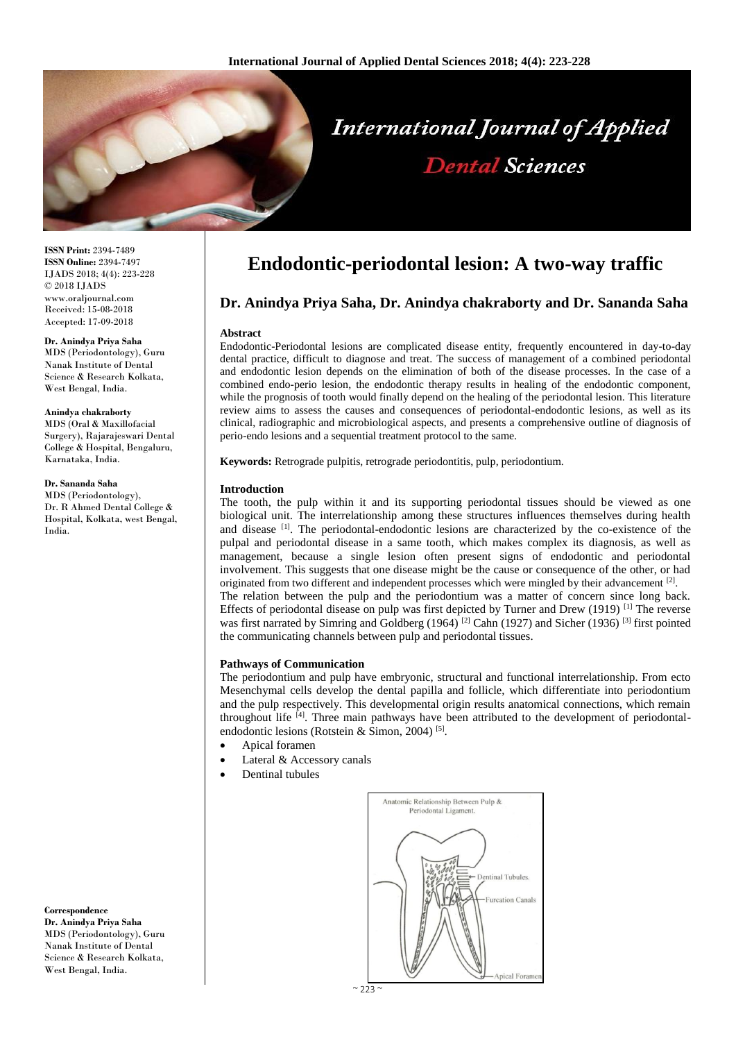

**ISSN Print:** 2394-7489 **ISSN Online:** 2394-7497 IJADS 2018; 4(4): 223-228 © 2018 IJADS www.oraljournal.com Received: 15-08-2018 Accepted: 17-09-2018

#### **Dr. Anindya Priya Saha**

MDS (Periodontology), Guru Nanak Institute of Dental Science & Research Kolkata, West Bengal, India.

#### **Anindya chakraborty**

MDS (Oral & Maxillofacial Surgery), Rajarajeswari Dental College & Hospital, Bengaluru, Karnataka, India.

## **Dr. Sananda Saha**

MDS (Periodontology), Dr. R Ahmed Dental College & Hospital, Kolkata, west Bengal, India.

**Correspondence Dr. Anindya Priya Saha** MDS (Periodontology), Guru Nanak Institute of Dental Science & Research Kolkata, West Bengal, India.

# **Endodontic-periodontal lesion: A two-way traffic**

# **Dr. Anindya Priya Saha, Dr. Anindya chakraborty and Dr. Sananda Saha**

#### **Abstract**

Endodontic-Periodontal lesions are complicated disease entity, frequently encountered in day-to-day dental practice, difficult to diagnose and treat. The success of management of a combined periodontal and endodontic lesion depends on the elimination of both of the disease processes. In the case of a combined endo-perio lesion, the endodontic therapy results in healing of the endodontic component, while the prognosis of tooth would finally depend on the healing of the periodontal lesion. This literature review aims to assess the causes and consequences of periodontal-endodontic lesions, as well as its clinical, radiographic and microbiological aspects, and presents a comprehensive outline of diagnosis of perio-endo lesions and a sequential treatment protocol to the same.

**Keywords:** Retrograde pulpitis, retrograde periodontitis, pulp, periodontium.

## **Introduction**

The tooth, the pulp within it and its supporting periodontal tissues should be viewed as one biological unit. The interrelationship among these structures influences themselves during health and disease [1]. The periodontal-endodontic lesions are characterized by the co-existence of the pulpal and periodontal disease in a same tooth, which makes complex its diagnosis, as well as management, because a single lesion often present signs of endodontic and periodontal involvement. This suggests that one disease might be the cause or consequence of the other, or had originated from two different and independent processes which were mingled by their advancement  $[2]$ . The relation between the pulp and the periodontium was a matter of concern since long back. Effects of periodontal disease on pulp was first depicted by Turner and Drew (1919)<sup>[1]</sup> The reverse was first narrated by Simring and Goldberg (1964)<sup>[2]</sup> Cahn (1927) and Sicher (1936)<sup>[3]</sup> first pointed the communicating channels between pulp and periodontal tissues.

#### **Pathways of Communication**

The periodontium and pulp have embryonic, structural and functional interrelationship. From ecto Mesenchymal cells develop the dental papilla and follicle, which differentiate into periodontium and the pulp respectively. This developmental origin results anatomical connections, which remain throughout life [4]. Three main pathways have been attributed to the development of periodontalendodontic lesions (Rotstein & Simon, 2004)<sup>[5]</sup>.

- Apical foramen
- Lateral & Accessory canals
- Dentinal tubules

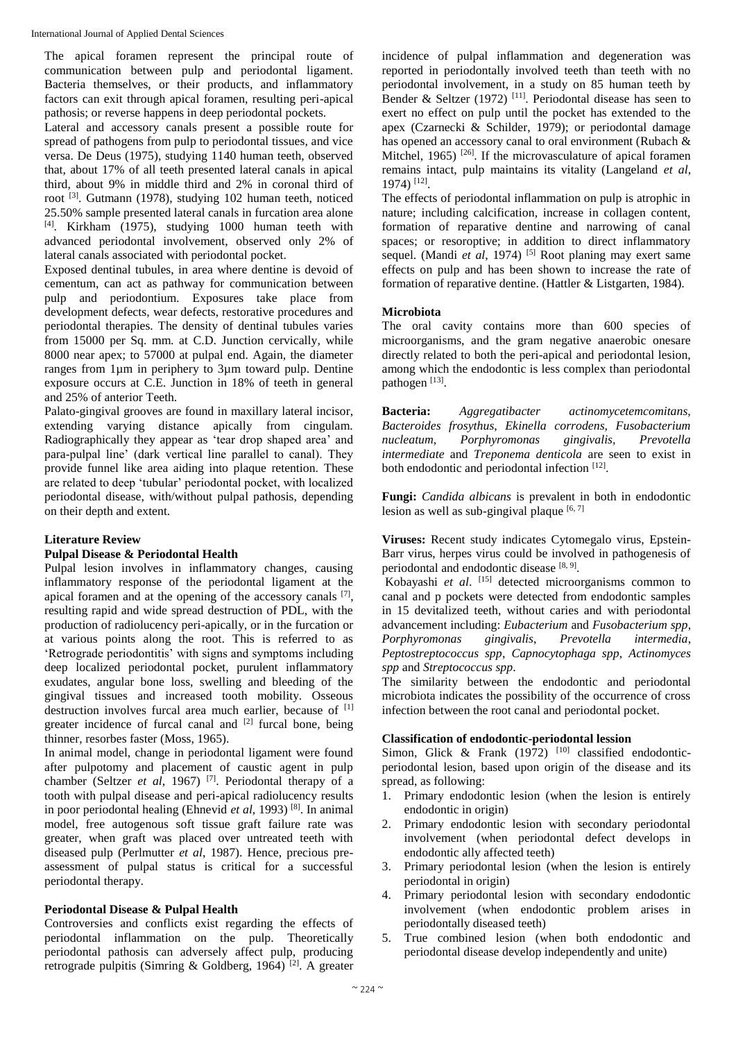The apical foramen represent the principal route of communication between pulp and periodontal ligament. Bacteria themselves, or their products, and inflammatory factors can exit through apical foramen, resulting peri-apical pathosis; or reverse happens in deep periodontal pockets.

Lateral and accessory canals present a possible route for spread of pathogens from pulp to periodontal tissues, and vice versa. De Deus (1975), studying 1140 human teeth, observed that, about 17% of all teeth presented lateral canals in apical third, about 9% in middle third and 2% in coronal third of root <sup>[3]</sup>. Gutmann (1978), studying 102 human teeth, noticed 25.50% sample presented lateral canals in furcation area alone [4] . Kirkham (1975), studying 1000 human teeth with advanced periodontal involvement, observed only 2% of lateral canals associated with periodontal pocket.

Exposed dentinal tubules, in area where dentine is devoid of cementum, can act as pathway for communication between pulp and periodontium. Exposures take place from development defects, wear defects, restorative procedures and periodontal therapies. The density of dentinal tubules varies from 15000 per Sq. mm. at C.D. Junction cervically, while 8000 near apex; to 57000 at pulpal end. Again, the diameter ranges from 1µm in periphery to 3µm toward pulp. Dentine exposure occurs at C.E. Junction in 18% of teeth in general and 25% of anterior Teeth.

Palato-gingival grooves are found in maxillary lateral incisor, extending varying distance apically from cingulam. Radiographically they appear as 'tear drop shaped area' and para-pulpal line' (dark vertical line parallel to canal). They provide funnel like area aiding into plaque retention. These are related to deep 'tubular' periodontal pocket, with localized periodontal disease, with/without pulpal pathosis, depending on their depth and extent.

# **Literature Review**

# **Pulpal Disease & Periodontal Health**

Pulpal lesion involves in inflammatory changes, causing inflammatory response of the periodontal ligament at the apical foramen and at the opening of the accessory canals  $[7]$ , resulting rapid and wide spread destruction of PDL, with the production of radiolucency peri-apically, or in the furcation or at various points along the root. This is referred to as 'Retrograde periodontitis' with signs and symptoms including deep localized periodontal pocket, purulent inflammatory exudates, angular bone loss, swelling and bleeding of the gingival tissues and increased tooth mobility. Osseous destruction involves furcal area much earlier, because of [1] greater incidence of furcal canal and  $[2]$  furcal bone, being thinner, resorbes faster (Moss, 1965).

In animal model, change in periodontal ligament were found after pulpotomy and placement of caustic agent in pulp chamber (Seltzer *et al*, 1967) [7] . Periodontal therapy of a tooth with pulpal disease and peri-apical radiolucency results in poor periodontal healing (Ehnevid *et al*, 1993) [8] . In animal model, free autogenous soft tissue graft failure rate was greater, when graft was placed over untreated teeth with diseased pulp (Perlmutter *et al*, 1987). Hence, precious preassessment of pulpal status is critical for a successful periodontal therapy.

# **Periodontal Disease & Pulpal Health**

Controversies and conflicts exist regarding the effects of periodontal inflammation on the pulp. Theoretically periodontal pathosis can adversely affect pulp, producing retrograde pulpitis (Simring & Goldberg, 1964)<sup>[2]</sup>. A greater

incidence of pulpal inflammation and degeneration was reported in periodontally involved teeth than teeth with no periodontal involvement, in a study on 85 human teeth by Bender & Seltzer (1972)<sup>[11]</sup>. Periodontal disease has seen to exert no effect on pulp until the pocket has extended to the apex (Czarnecki & Schilder, 1979); or periodontal damage has opened an accessory canal to oral environment (Rubach & Mitchel, 1965)<sup>[26]</sup>. If the microvasculature of apical foramen remains intact, pulp maintains its vitality (Langeland *et al*, 1974) [12] .

The effects of periodontal inflammation on pulp is atrophic in nature; including calcification, increase in collagen content, formation of reparative dentine and narrowing of canal spaces; or resoroptive; in addition to direct inflammatory sequel. (Mandi *et al*, 1974) <sup>[5]</sup> Root planing may exert same effects on pulp and has been shown to increase the rate of formation of reparative dentine. (Hattler & Listgarten, 1984).

# **Microbiota**

The oral cavity contains more than 600 species of microorganisms, and the gram negative anaerobic onesare directly related to both the peri-apical and periodontal lesion, among which the endodontic is less complex than periodontal pathogen<sup>[13]</sup>.

**Bacteria:** *Aggregatibacter actinomycetemcomitans, Bacteroides frosythus, Ekinella corrodens, Fusobacterium nucleatum, Porphyromonas gingivalis, Prevotella intermediate* and *Treponema denticola* are seen to exist in both endodontic and periodontal infection [12].

**Fungi:** *Candida albicans* is prevalent in both in endodontic lesion as well as sub-gingival plaque  $[6, 7]$ 

**Viruses:** Recent study indicates Cytomegalo virus, Epstein-Barr virus, herpes virus could be involved in pathogenesis of periodontal and endodontic disease [8, 9].

Kobayashi *et al*. [15] detected microorganisms common to canal and p pockets were detected from endodontic samples in 15 devitalized teeth, without caries and with periodontal advancement including: *Eubacterium* and *Fusobacterium spp*, *Porphyromonas gingivalis*, *Prevotella intermedia*, *Peptostreptococcus spp*, *Capnocytophaga spp*, *Actinomyces spp* and *Streptococcus spp*.

The similarity between the endodontic and periodontal microbiota indicates the possibility of the occurrence of cross infection between the root canal and periodontal pocket.

# **Classification of endodontic-periodontal lession**

Simon, Glick & Frank  $(1972)$ <sup>[10]</sup> classified endodonticperiodontal lesion, based upon origin of the disease and its spread, as following:

- 1. Primary endodontic lesion (when the lesion is entirely endodontic in origin)
- 2. Primary endodontic lesion with secondary periodontal involvement (when periodontal defect develops in endodontic ally affected teeth)
- 3. Primary periodontal lesion (when the lesion is entirely periodontal in origin)
- 4. Primary periodontal lesion with secondary endodontic involvement (when endodontic problem arises in periodontally diseased teeth)
- 5. True combined lesion (when both endodontic and periodontal disease develop independently and unite)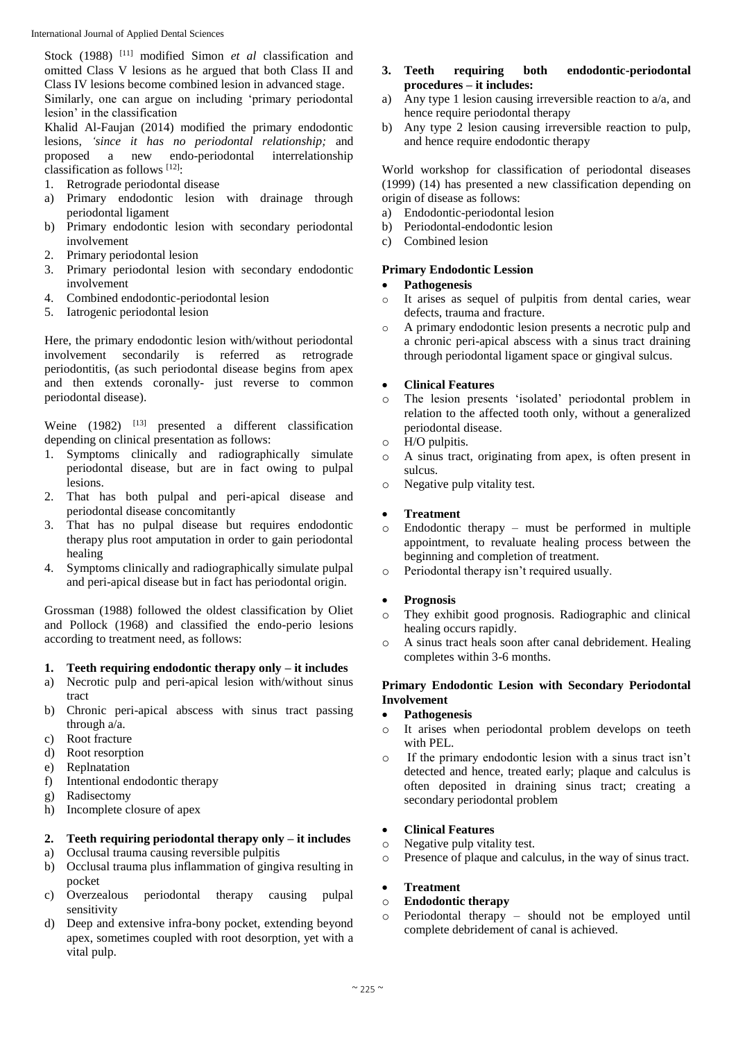Stock (1988) [11] modified Simon *et al* classification and omitted Class V lesions as he argued that both Class II and Class IV lesions become combined lesion in advanced stage. Similarly, one can argue on including 'primary periodontal lesion' in the classification

Khalid Al-Faujan (2014) modified the primary endodontic lesions, *'since it has no periodontal relationship;* and proposed a new endo-periodontal interrelationship classification as follows [12]:

- 1. Retrograde periodontal disease
- a) Primary endodontic lesion with drainage through periodontal ligament
- b) Primary endodontic lesion with secondary periodontal involvement
- 2. Primary periodontal lesion
- 3. Primary periodontal lesion with secondary endodontic involvement
- 4. Combined endodontic-periodontal lesion
- 5. Iatrogenic periodontal lesion

Here, the primary endodontic lesion with/without periodontal involvement secondarily is referred as retrograde periodontitis, (as such periodontal disease begins from apex and then extends coronally- just reverse to common periodontal disease).

Weine  $(1982)$  <sup>[13]</sup> presented a different classification depending on clinical presentation as follows:

- 1. Symptoms clinically and radiographically simulate periodontal disease, but are in fact owing to pulpal lesions.
- 2. That has both pulpal and peri-apical disease and periodontal disease concomitantly
- 3. That has no pulpal disease but requires endodontic therapy plus root amputation in order to gain periodontal healing
- 4. Symptoms clinically and radiographically simulate pulpal and peri-apical disease but in fact has periodontal origin.

Grossman (1988) followed the oldest classification by Oliet and Pollock (1968) and classified the endo-perio lesions according to treatment need, as follows:

# **1. Teeth requiring endodontic therapy only – it includes**

- a) Necrotic pulp and peri-apical lesion with/without sinus tract
- b) Chronic peri-apical abscess with sinus tract passing through a/a.
- c) Root fracture
- d) Root resorption
- e) Replnatation
- f) Intentional endodontic therapy
- g) Radisectomy
- h) Incomplete closure of apex

# **2. Teeth requiring periodontal therapy only – it includes**

- a) Occlusal trauma causing reversible pulpitis
- b) Occlusal trauma plus inflammation of gingiva resulting in pocket
- c) Overzealous periodontal therapy causing pulpal sensitivity
- d) Deep and extensive infra-bony pocket, extending beyond apex, sometimes coupled with root desorption, yet with a vital pulp.

## **3. Teeth requiring both endodontic-periodontal procedures – it includes:**

- a) Any type 1 lesion causing irreversible reaction to  $a/a$ , and hence require periodontal therapy
- b) Any type 2 lesion causing irreversible reaction to pulp, and hence require endodontic therapy

World workshop for classification of periodontal diseases (1999) (14) has presented a new classification depending on origin of disease as follows:

- a) Endodontic-periodontal lesion
- b) Periodontal-endodontic lesion
- c) Combined lesion

# **Primary Endodontic Lession**

## **Pathogenesis**

- o It arises as sequel of pulpitis from dental caries, wear defects, trauma and fracture.
- o A primary endodontic lesion presents a necrotic pulp and a chronic peri-apical abscess with a sinus tract draining through periodontal ligament space or gingival sulcus.

# **Clinical Features**

- o The lesion presents 'isolated' periodontal problem in relation to the affected tooth only, without a generalized periodontal disease.
- o H/O pulpitis.
- o A sinus tract, originating from apex, is often present in sulcus.
- o Negative pulp vitality test.

# **Treatment**

- o Endodontic therapy must be performed in multiple appointment, to revaluate healing process between the beginning and completion of treatment.
- o Periodontal therapy isn't required usually.

## **Prognosis**

- o They exhibit good prognosis. Radiographic and clinical healing occurs rapidly.
- o A sinus tract heals soon after canal debridement. Healing completes within 3-6 months.

# **Primary Endodontic Lesion with Secondary Periodontal Involvement**

## **Pathogenesis**

- o It arises when periodontal problem develops on teeth with PEL.
- o If the primary endodontic lesion with a sinus tract isn't detected and hence, treated early; plaque and calculus is often deposited in draining sinus tract; creating a secondary periodontal problem

## **Clinical Features**

- o Negative pulp vitality test.
- o Presence of plaque and calculus, in the way of sinus tract.

# **Treatment**

# o **Endodontic therapy**

o Periodontal therapy – should not be employed until complete debridement of canal is achieved.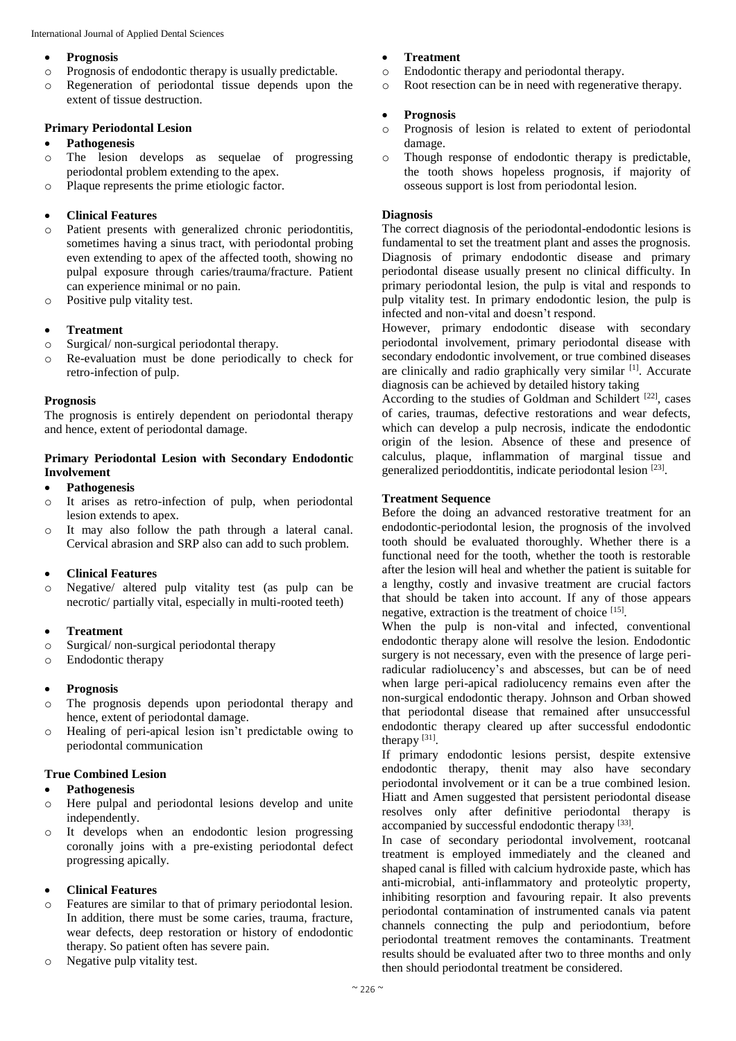## **Prognosis**

- o Prognosis of endodontic therapy is usually predictable.
- o Regeneration of periodontal tissue depends upon the extent of tissue destruction.

# **Primary Periodontal Lesion**

# **Pathogenesis**

- o The lesion develops as sequelae of progressing periodontal problem extending to the apex.
- o Plaque represents the prime etiologic factor.

# **Clinical Features**

- o Patient presents with generalized chronic periodontitis, sometimes having a sinus tract, with periodontal probing even extending to apex of the affected tooth, showing no pulpal exposure through caries/trauma/fracture. Patient can experience minimal or no pain.
- o Positive pulp vitality test.

# **Treatment**

- o Surgical/ non-surgical periodontal therapy.
- o Re-evaluation must be done periodically to check for retro-infection of pulp.

# **Prognosis**

The prognosis is entirely dependent on periodontal therapy and hence, extent of periodontal damage.

# **Primary Periodontal Lesion with Secondary Endodontic Involvement**

## **Pathogenesis**

- o It arises as retro-infection of pulp, when periodontal lesion extends to apex.
- o It may also follow the path through a lateral canal. Cervical abrasion and SRP also can add to such problem.

# **Clinical Features**

o Negative/ altered pulp vitality test (as pulp can be necrotic/ partially vital, especially in multi-rooted teeth)

# **Treatment**

- o Surgical/ non-surgical periodontal therapy
- o Endodontic therapy

# **Prognosis**

- o The prognosis depends upon periodontal therapy and hence, extent of periodontal damage.
- o Healing of peri-apical lesion isn't predictable owing to periodontal communication

## **True Combined Lesion**

# **Pathogenesis**

- o Here pulpal and periodontal lesions develop and unite independently.
- o It develops when an endodontic lesion progressing coronally joins with a pre-existing periodontal defect progressing apically.

# **Clinical Features**

- o Features are similar to that of primary periodontal lesion. In addition, there must be some caries, trauma, fracture, wear defects, deep restoration or history of endodontic therapy. So patient often has severe pain.
- o Negative pulp vitality test.

# **Treatment**

- o Endodontic therapy and periodontal therapy.
- o Root resection can be in need with regenerative therapy.

# **Prognosis**

- o Prognosis of lesion is related to extent of periodontal damage.
- o Though response of endodontic therapy is predictable, the tooth shows hopeless prognosis, if majority of osseous support is lost from periodontal lesion.

# **Diagnosis**

The correct diagnosis of the periodontal-endodontic lesions is fundamental to set the treatment plant and asses the prognosis. Diagnosis of primary endodontic disease and primary periodontal disease usually present no clinical difficulty. In primary periodontal lesion, the pulp is vital and responds to pulp vitality test. In primary endodontic lesion, the pulp is infected and non-vital and doesn't respond.

However, primary endodontic disease with secondary periodontal involvement, primary periodontal disease with secondary endodontic involvement, or true combined diseases are clinically and radio graphically very similar <sup>[1]</sup>. Accurate diagnosis can be achieved by detailed history taking

According to the studies of Goldman and Schildert<sup>[22]</sup>, cases of caries, traumas, defective restorations and wear defects, which can develop a pulp necrosis, indicate the endodontic origin of the lesion. Absence of these and presence of calculus, plaque, inflammation of marginal tissue and generalized perioddontitis, indicate periodontal lesion [23].

## **Treatment Sequence**

Before the doing an advanced restorative treatment for an endodontic-periodontal lesion, the prognosis of the involved tooth should be evaluated thoroughly. Whether there is a functional need for the tooth, whether the tooth is restorable after the lesion will heal and whether the patient is suitable for a lengthy, costly and invasive treatment are crucial factors that should be taken into account. If any of those appears negative, extraction is the treatment of choice [15].

When the pulp is non-vital and infected, conventional endodontic therapy alone will resolve the lesion. Endodontic surgery is not necessary, even with the presence of large periradicular radiolucency's and abscesses, but can be of need when large peri-apical radiolucency remains even after the non-surgical endodontic therapy. Johnson and Orban showed that periodontal disease that remained after unsuccessful endodontic therapy cleared up after successful endodontic therapy  $[31]$ .

If primary endodontic lesions persist, despite extensive endodontic therapy, thenit may also have secondary periodontal involvement or it can be a true combined lesion. Hiatt and Amen suggested that persistent periodontal disease resolves only after definitive periodontal therapy is accompanied by successful endodontic therapy [33].

In case of secondary periodontal involvement, rootcanal treatment is employed immediately and the cleaned and shaped canal is filled with calcium hydroxide paste, which has anti-microbial, anti-inflammatory and proteolytic property, inhibiting resorption and favouring repair. It also prevents periodontal contamination of instrumented canals via patent channels connecting the pulp and periodontium, before periodontal treatment removes the contaminants. Treatment results should be evaluated after two to three months and only then should periodontal treatment be considered.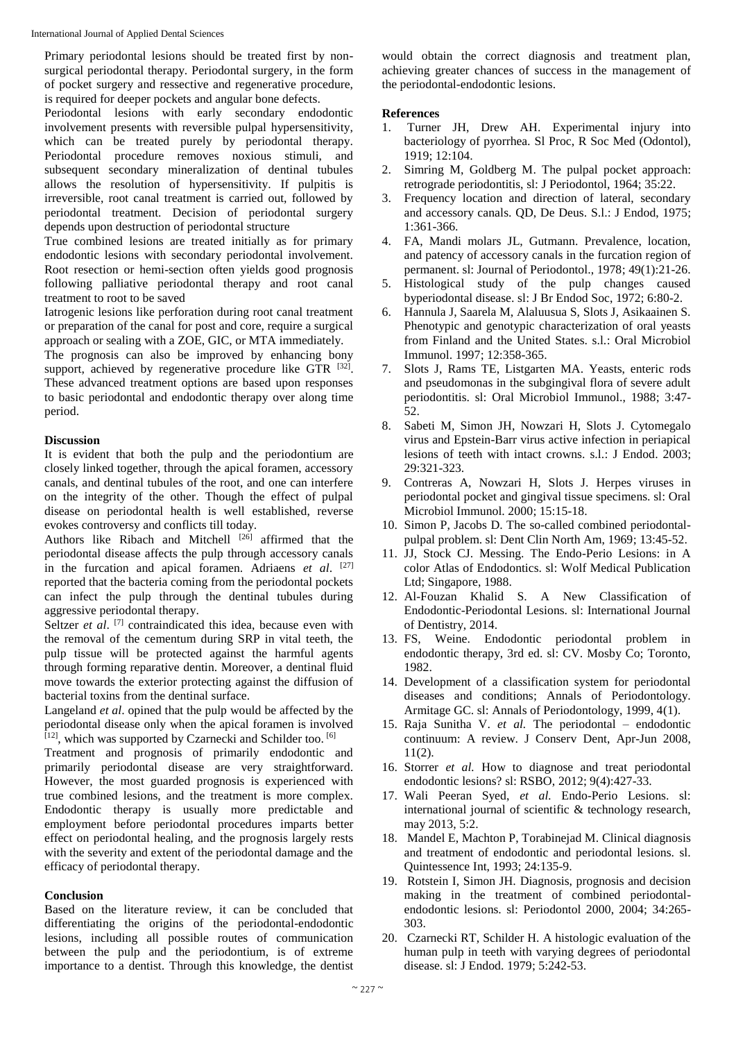Primary periodontal lesions should be treated first by nonsurgical periodontal therapy. Periodontal surgery, in the form of pocket surgery and ressective and regenerative procedure, is required for deeper pockets and angular bone defects.

Periodontal lesions with early secondary endodontic involvement presents with reversible pulpal hypersensitivity, which can be treated purely by periodontal therapy. Periodontal procedure removes noxious stimuli, and subsequent secondary mineralization of dentinal tubules allows the resolution of hypersensitivity. If pulpitis is irreversible, root canal treatment is carried out, followed by periodontal treatment. Decision of periodontal surgery depends upon destruction of periodontal structure

True combined lesions are treated initially as for primary endodontic lesions with secondary periodontal involvement. Root resection or hemi-section often yields good prognosis following palliative periodontal therapy and root canal treatment to root to be saved

Iatrogenic lesions like perforation during root canal treatment or preparation of the canal for post and core, require a surgical approach or sealing with a ZOE, GIC, or MTA immediately.

The prognosis can also be improved by enhancing bony support, achieved by regenerative procedure like GTR [32]. These advanced treatment options are based upon responses to basic periodontal and endodontic therapy over along time period.

# **Discussion**

It is evident that both the pulp and the periodontium are closely linked together, through the apical foramen, accessory canals, and dentinal tubules of the root, and one can interfere on the integrity of the other. Though the effect of pulpal disease on periodontal health is well established, reverse evokes controversy and conflicts till today.

Authors like Ribach and Mitchell<sup>[26]</sup> affirmed that the periodontal disease affects the pulp through accessory canals in the furcation and apical foramen. Adriaens *et al*. [27] reported that the bacteria coming from the periodontal pockets can infect the pulp through the dentinal tubules during aggressive periodontal therapy.

Seltzer *et al.* <sup>[7]</sup> contraindicated this idea, because even with the removal of the cementum during SRP in vital teeth, the pulp tissue will be protected against the harmful agents through forming reparative dentin. Moreover, a dentinal fluid move towards the exterior protecting against the diffusion of bacterial toxins from the dentinal surface.

Langeland *et al*. opined that the pulp would be affected by the periodontal disease only when the apical foramen is involved [12], which was supported by Czarnecki and Schilder too.<sup>[6]</sup>

Treatment and prognosis of primarily endodontic and primarily periodontal disease are very straightforward. However, the most guarded prognosis is experienced with true combined lesions, and the treatment is more complex. Endodontic therapy is usually more predictable and employment before periodontal procedures imparts better effect on periodontal healing, and the prognosis largely rests with the severity and extent of the periodontal damage and the efficacy of periodontal therapy.

# **Conclusion**

Based on the literature review, it can be concluded that differentiating the origins of the periodontal-endodontic lesions, including all possible routes of communication between the pulp and the periodontium, is of extreme importance to a dentist. Through this knowledge, the dentist would obtain the correct diagnosis and treatment plan, achieving greater chances of success in the management of the periodontal-endodontic lesions.

# **References**

- 1. Turner JH, Drew AH. Experimental injury into bacteriology of pyorrhea*.* Sl Proc, R Soc Med (Odontol), 1919; 12:104.
- 2. Simring M, Goldberg M. The pulpal pocket approach: retrograde periodontitis, sl: J Periodontol, 1964; 35:22.
- 3. Frequency location and direction of lateral, secondary and accessory canals. QD, De Deus. S.l.: J Endod, 1975; 1:361-366.
- 4. FA, Mandi molars JL, Gutmann. Prevalence, location, and patency of accessory canals in the furcation region of permanent. sl: Journal of Periodontol., 1978; 49(1):21-26.
- 5. Histological study of the pulp changes caused byperiodontal disease. sl: J Br Endod Soc, 1972; 6:80-2.
- 6. Hannula J, Saarela M, Alaluusua S, Slots J, Asikaainen S. Phenotypic and genotypic characterization of oral yeasts from Finland and the United States. s.l.: Oral Microbiol Immunol. 1997; 12:358-365.
- 7. Slots J, Rams TE, Listgarten MA. Yeasts, enteric rods and pseudomonas in the subgingival flora of severe adult periodontitis. sl: Oral Microbiol Immunol., 1988; 3:47- 52.
- 8. Sabeti M, Simon JH, Nowzari H, Slots J. Cytomegalo virus and Epstein-Barr virus active infection in periapical lesions of teeth with intact crowns. s.l.: J Endod. 2003; 29:321-323.
- 9. Contreras A, Nowzari H, Slots J. Herpes viruses in periodontal pocket and gingival tissue specimens. sl: Oral Microbiol Immunol. 2000; 15:15-18.
- 10. Simon P, Jacobs D. The so-called combined periodontalpulpal problem. sl: Dent Clin North Am, 1969; 13:45-52.
- 11. JJ, Stock CJ. Messing. The Endo-Perio Lesions: in A color Atlas of Endodontics. sl: Wolf Medical Publication Ltd; Singapore, 1988.
- 12. Al-Fouzan Khalid S. A New Classification of Endodontic-Periodontal Lesions. sl: International Journal of Dentistry, 2014.
- 13. FS, Weine. Endodontic periodontal problem in endodontic therapy, 3rd ed. sl: CV. Mosby Co; Toronto, 1982.
- 14. Development of a classification system for periodontal diseases and conditions; Annals of Periodontology. Armitage GC. sl: Annals of Periodontology, 1999, 4(1).
- 15. Raja Sunitha V. *et al.* The periodontal endodontic continuum: A review. J Conserv Dent, Apr-Jun 2008, 11(2).
- 16. Storrer *et al.* How to diagnose and treat periodontal endodontic lesions? sl: RSBO, 2012; 9(4):427-33.
- 17. Wali Peeran Syed, *et al.* Endo-Perio Lesions. sl: international journal of scientific & technology research, may 2013, 5:2.
- 18. Mandel E, Machton P, Torabinejad M. Clinical diagnosis and treatment of endodontic and periodontal lesions. sl. Quintessence Int, 1993; 24:135-9.
- 19. Rotstein I, Simon JH. Diagnosis, prognosis and decision making in the treatment of combined periodontalendodontic lesions. sl: Periodontol 2000, 2004; 34:265- 303.
- 20. Czarnecki RT, Schilder H. A histologic evaluation of the human pulp in teeth with varying degrees of periodontal disease. sl: J Endod. 1979; 5:242-53.